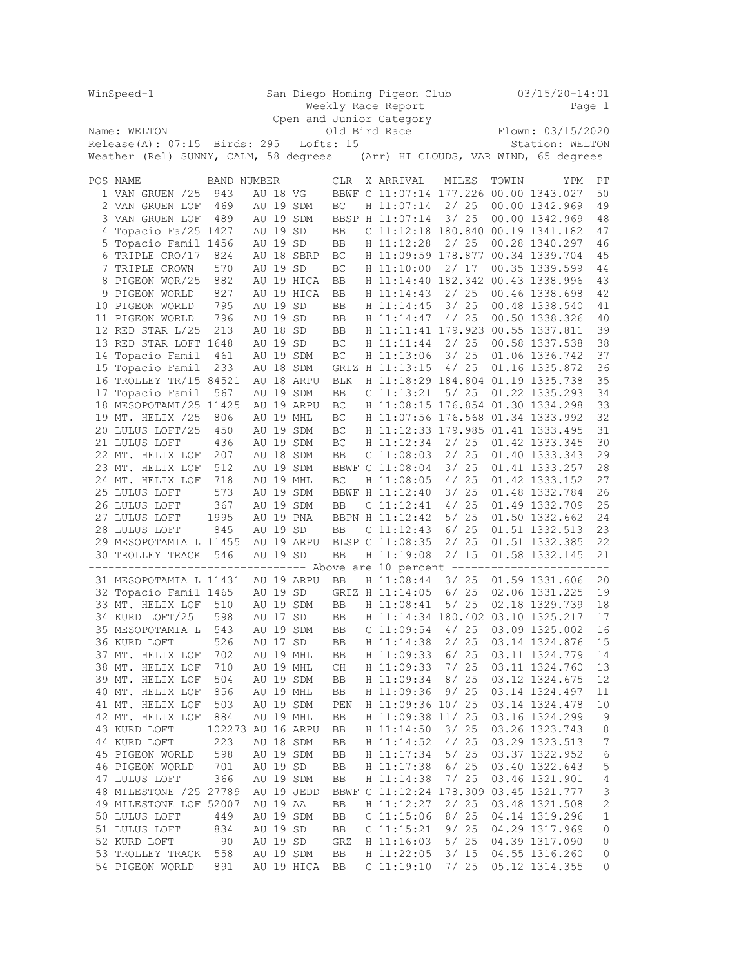|                                | WinSpeed-1                                                                                         |                   | San Diego Homing Pigeon Club<br>Weekly Race Report |          |                            |                 |  |                       |                       |              | 03/15/20-14:01<br>Page 1 |                 |                                        |                |  |  |  |
|--------------------------------|----------------------------------------------------------------------------------------------------|-------------------|----------------------------------------------------|----------|----------------------------|-----------------|--|-----------------------|-----------------------|--------------|--------------------------|-----------------|----------------------------------------|----------------|--|--|--|
|                                |                                                                                                    |                   |                                                    |          | Open and Junior Category   |                 |  |                       |                       |              |                          |                 |                                        |                |  |  |  |
|                                | Name: WELTON                                                                                       |                   |                                                    |          |                            |                 |  |                       |                       |              |                          |                 | Flown: 03/15/2020                      |                |  |  |  |
| $Release(A): 07:15$ Birds: 295 |                                                                                                    |                   |                                                    |          | Old Bird Race<br>Lofts: 15 |                 |  |                       |                       |              |                          | Station: WELTON |                                        |                |  |  |  |
|                                | Weather (Rel) SUNNY, CALM, 58 degrees (Arr) HI CLOUDS, VAR WIND, 65 degrees                        |                   |                                                    |          |                            |                 |  |                       |                       |              |                          |                 |                                        |                |  |  |  |
|                                |                                                                                                    |                   |                                                    |          |                            |                 |  |                       |                       |              |                          |                 |                                        |                |  |  |  |
|                                | POS NAME                                                                                           | BAND NUMBER       |                                                    |          |                            | CLR.            |  | X ARRIVAL             |                       | MILES        |                          | TOWIN           | YPM                                    | РT             |  |  |  |
|                                | 1 VAN GRUEN /25                                                                                    | 943               |                                                    | AU 18 VG |                            |                 |  |                       |                       |              |                          |                 | BBWF C 11:07:14 177.226 00.00 1343.027 | 50             |  |  |  |
|                                | 2 VAN GRUEN LOF                                                                                    | 469               |                                                    |          | AU 19 SDM                  | BC              |  | H 11:07:14            |                       | 2/25         |                          |                 | 00.00 1342.969                         | 49             |  |  |  |
|                                | 3 VAN GRUEN LOF                                                                                    | 489               |                                                    |          | AU 19 SDM                  | BBSP H 11:07:14 |  |                       |                       | 3/25         |                          |                 | 00.00 1342.969                         | 48             |  |  |  |
|                                | 4 Topacio Fa/25 1427                                                                               |                   |                                                    | AU 19 SD |                            | BB              |  |                       |                       |              |                          |                 | C 11:12:18 180.840 00.19 1341.182      | 47             |  |  |  |
|                                | 5 Topacio Famil 1456                                                                               |                   |                                                    | AU 19 SD |                            | BB              |  | H 11:12:28            |                       | 2/25         |                          |                 | 00.28 1340.297                         | 46             |  |  |  |
|                                | 6 TRIPLE CRO/17                                                                                    | 824               |                                                    |          | AU 18 SBRP                 | ВC              |  |                       |                       |              |                          |                 | H 11:09:59 178.877 00.34 1339.704      | 45             |  |  |  |
|                                | 7 TRIPLE CROWN                                                                                     | 570               |                                                    | AU 19 SD |                            | BC              |  | H 11:10:00            |                       |              | 2/17                     |                 | 00.35 1339.599                         | 44             |  |  |  |
|                                | 8 PIGEON WOR/25                                                                                    | 882               |                                                    |          | AU 19 HICA                 | BB              |  |                       |                       |              |                          |                 | H 11:14:40 182.342 00.43 1338.996      | 43             |  |  |  |
|                                | 9 PIGEON WORLD                                                                                     | 827               |                                                    |          | AU 19 HICA                 | BB              |  |                       | H 11:14:43            |              | 2/25                     |                 | 00.46 1338.698                         | 42             |  |  |  |
|                                | 10 PIGEON WORLD                                                                                    | 795               |                                                    | AU 19 SD |                            | BB              |  |                       | H 11:14:45            |              |                          |                 | 3/ 25 00.48 1338.540                   | 41             |  |  |  |
|                                | 11 PIGEON WORLD                                                                                    | 796               |                                                    | AU 19 SD |                            | BB              |  |                       | H 11:14:47            |              | 4/25                     |                 | 00.50 1338.326                         | 40             |  |  |  |
|                                | 12 RED STAR L/25                                                                                   | 213               |                                                    | AU 18 SD |                            | BB              |  |                       |                       |              |                          |                 | H 11:11:41 179.923 00.55 1337.811      | 39             |  |  |  |
|                                | 13 RED STAR LOFT 1648                                                                              |                   |                                                    | AU 19 SD |                            | ВC              |  |                       | H 11:11:44            | 2/25         |                          |                 | 00.58 1337.538                         | 38             |  |  |  |
|                                | 14 Topacio Famil                                                                                   | 461               |                                                    |          | AU 19 SDM                  | ВC              |  |                       | H 11:13:06            |              | 3/25                     |                 | 01.06 1336.742                         | 37             |  |  |  |
|                                | 15 Topacio Famil                                                                                   | 233               |                                                    |          | AU 18 SDM                  | GRIZ H 11:13:15 |  |                       |                       | 4/25         |                          |                 | 01.16 1335.872                         | 36             |  |  |  |
|                                | 16 TROLLEY TR/15 84521                                                                             |                   |                                                    |          | AU 18 ARPU                 | $_{\rm BLK}$    |  |                       |                       |              |                          |                 | H 11:18:29 184.804 01.19 1335.738      | 35             |  |  |  |
|                                | 17 Topacio Famil                                                                                   | 567               |                                                    |          | AU 19 SDM                  | BB              |  | $C$ 11:13:21          |                       |              | 5/25                     |                 | 01.22 1335.293                         | 34             |  |  |  |
|                                | 18 MESOPOTAMI/25 11425                                                                             |                   |                                                    |          | AU 19 ARPU                 | ВC              |  |                       |                       |              |                          |                 | H 11:08:15 176.854 01.30 1334.298      | 33             |  |  |  |
|                                | 19 MT. HELIX /25                                                                                   | 806               |                                                    |          | AU 19 MHL                  | ВC              |  |                       |                       |              |                          |                 | H 11:07:56 176.568 01.34 1333.992      | 32             |  |  |  |
|                                | 20 LULUS LOFT/25                                                                                   | 450               |                                                    |          | AU 19 SDM                  | ВC              |  |                       |                       |              |                          |                 | H 11:12:33 179.985 01.41 1333.495      | 31             |  |  |  |
|                                | 21 LULUS LOFT                                                                                      | 436               |                                                    |          | AU 19 SDM                  | ВC              |  |                       | H 11:12:34            |              | 2/25                     |                 | 01.42 1333.345                         | 30             |  |  |  |
|                                | 22 MT. HELIX LOF                                                                                   | 207               |                                                    |          | AU 18 SDM                  | BB              |  |                       | $C$ 11:08:03          |              | 2/25                     |                 | 01.40 1333.343                         | 29             |  |  |  |
|                                | 23 MT. HELIX LOF                                                                                   | 512               |                                                    |          | AU 19 SDM                  | BBWF C 11:08:04 |  |                       |                       |              | 3/25                     |                 | 01.41 1333.257                         | 28             |  |  |  |
|                                | 24 MT. HELIX LOF                                                                                   | 718               |                                                    |          | AU 19 MHL                  | ВC              |  |                       | H 11:08:05            |              | 4/25                     |                 | 01.42 1333.152                         | 27             |  |  |  |
|                                | 25 LULUS LOFT                                                                                      | 573               |                                                    |          | AU 19 SDM                  | BBWF H 11:12:40 |  |                       |                       |              | 3/25                     |                 | 01.48 1332.784                         | 26             |  |  |  |
|                                | 26 LULUS LOFT                                                                                      | 367               |                                                    |          | AU 19 SDM                  | BB              |  |                       | C <sub>11:12:41</sub> |              | 4/25                     |                 | 01.49 1332.709                         | 25             |  |  |  |
|                                | 27 LULUS LOFT                                                                                      | 1995              |                                                    |          | AU 19 PNA                  | BBPN H 11:12:42 |  |                       |                       | 5/25<br>6/25 |                          |                 | 01.50 1332.662                         | 24             |  |  |  |
|                                | 28 LULUS LOFT                                                                                      | 845               |                                                    | AU 19 SD |                            | BB              |  |                       | C 11:12:43            |              |                          |                 | 01.51 1332.513                         | 23             |  |  |  |
|                                | 29 MESOPOTAMIA L 11455                                                                             |                   |                                                    |          | AU 19 ARPU                 | BLSP C 11:08:35 |  |                       |                       |              | 2/25                     |                 | 01.51 1332.385                         | 22             |  |  |  |
|                                | 30 TROLLEY TRACK<br>-------------------------------- Above are 10 percent ------------------------ | 546               |                                                    | AU 19 SD |                            | <b>BB</b>       |  | H 11:19:08            |                       | 2/15         |                          |                 | 01.58 1332.145                         | 21             |  |  |  |
|                                | 31 MESOPOTAMIA L 11431                                                                             |                   |                                                    |          | AU 19 ARPU                 | BB              |  | H 11:08:44            |                       |              | 3/25                     |                 | 01.59 1331.606                         | 20             |  |  |  |
|                                | 32 Topacio Famil 1465                                                                              |                   |                                                    | AU 19 SD |                            | GRIZ H 11:14:05 |  |                       |                       | 6/25         |                          |                 | 02.06 1331.225                         | 19             |  |  |  |
|                                | 33 MT. HELIX LOF                                                                                   | 510               |                                                    |          | AU 19 SDM                  | BB              |  | H 11:08:41            |                       | 5/25         |                          |                 | 02.18 1329.739                         | 18             |  |  |  |
|                                | 34 KURD LOFT/25                                                                                    | 598               |                                                    | AU 17 SD |                            | BB              |  |                       |                       |              |                          |                 | H 11:14:34 180.402 03.10 1325.217      | 17             |  |  |  |
|                                | 35 MESOPOTAMIA L                                                                                   | 543               |                                                    |          | AU 19 SDM                  | BB              |  | $C$ 11:09:54          |                       | 4/25         |                          |                 | 03.09 1325.002                         | 16             |  |  |  |
|                                | 36 KURD LOFT                                                                                       | 526               |                                                    | AU 17 SD |                            | BB              |  | H 11:14:38            |                       | 2/25         |                          |                 | 03.14 1324.876                         | 15             |  |  |  |
|                                | 37 MT. HELIX LOF                                                                                   | 702               |                                                    |          | AU 19 MHL                  | BB              |  |                       | H 11:09:33            | 6/25         |                          |                 | 03.11 1324.779                         | 14             |  |  |  |
|                                | 38 MT. HELIX LOF                                                                                   | 710               |                                                    |          | AU 19 MHL                  | CH              |  |                       | H 11:09:33            | 7/25         |                          |                 | 03.11 1324.760                         | 13             |  |  |  |
|                                | 39 MT. HELIX LOF                                                                                   | 504               |                                                    |          | AU 19 SDM                  | BB              |  | H 11:09:34            |                       | 8/25         |                          |                 | 03.12 1324.675                         | 12             |  |  |  |
|                                | 40 MT. HELIX LOF                                                                                   | 856               |                                                    |          | AU 19 MHL                  | BB              |  | H 11:09:36            |                       | 9/25         |                          |                 | 03.14 1324.497                         | 11             |  |  |  |
|                                | 41 MT. HELIX LOF                                                                                   | 503               |                                                    |          | AU 19 SDM                  | PEN             |  |                       | H 11:09:36 10/ 25     |              |                          |                 | 03.14 1324.478                         | 10             |  |  |  |
|                                | 42 MT. HELIX LOF                                                                                   | 884               |                                                    |          | AU 19 MHL                  | BB              |  |                       | H 11:09:38 11/ 25     |              |                          |                 | 03.16 1324.299                         | 9              |  |  |  |
|                                | 43 KURD LOFT                                                                                       | 102273 AU 16 ARPU |                                                    |          |                            | BB              |  | H 11:14:50            |                       | 3/25         |                          |                 | 03.26 1323.743                         | 8              |  |  |  |
|                                | 44 KURD LOFT                                                                                       | 223               |                                                    |          | AU 18 SDM                  | BB              |  |                       | H 11:14:52            | 4/25         |                          |                 | 03.29 1323.513                         | 7              |  |  |  |
|                                | 45 PIGEON WORLD                                                                                    | 598               |                                                    |          | AU 19 SDM                  | BB              |  | H 11:17:34            |                       | 5/25         |                          |                 | 03.37 1322.952                         | 6              |  |  |  |
|                                | 46 PIGEON WORLD                                                                                    | 701               |                                                    | AU 19 SD |                            | BB              |  | H 11:17:38            |                       | 6/25         |                          |                 | 03.40 1322.643                         | $\mathsf S$    |  |  |  |
|                                | 47 LULUS LOFT                                                                                      | 366               |                                                    |          | AU 19 SDM                  | BB              |  | H 11:14:38            |                       | 7/25         |                          |                 | 03.46 1321.901                         | $\overline{4}$ |  |  |  |
|                                | 48 MILESTONE /25 27789                                                                             |                   |                                                    |          | AU 19 JEDD                 |                 |  |                       |                       |              |                          |                 | BBWF C 11:12:24 178.309 03.45 1321.777 | 3              |  |  |  |
|                                | 49 MILESTONE LOF 52007                                                                             |                   |                                                    | AU 19 AA |                            | BB              |  | H 11:12:27            |                       | 2/25         |                          |                 | 03.48 1321.508                         | $\sqrt{2}$     |  |  |  |
|                                | 50 LULUS LOFT                                                                                      | 449               |                                                    |          | AU 19 SDM                  | BB              |  | C <sub>11:15:06</sub> |                       | 8/25         |                          |                 | 04.14 1319.296                         | $1\,$          |  |  |  |
|                                | 51 LULUS LOFT                                                                                      | 834               |                                                    | AU 19 SD |                            | BB              |  | $C$ 11:15:21          |                       | 9/25         |                          |                 | 04.29 1317.969                         | 0              |  |  |  |
|                                | 52 KURD LOFT                                                                                       | 90                |                                                    | AU 19 SD |                            | GRZ             |  | H 11:16:03            |                       | 5/25         |                          |                 | 04.39 1317.090                         | 0              |  |  |  |
|                                | 53 TROLLEY TRACK                                                                                   | 558               |                                                    |          | AU 19 SDM                  | BB              |  | H 11:22:05            |                       | 3/15         |                          |                 | 04.55 1316.260                         | 0              |  |  |  |
|                                | 54 PIGEON WORLD                                                                                    | 891               |                                                    |          | AU 19 HICA                 | BB              |  | C <sub>11:19:10</sub> |                       | 7/25         |                          |                 | 05.12 1314.355                         | 0              |  |  |  |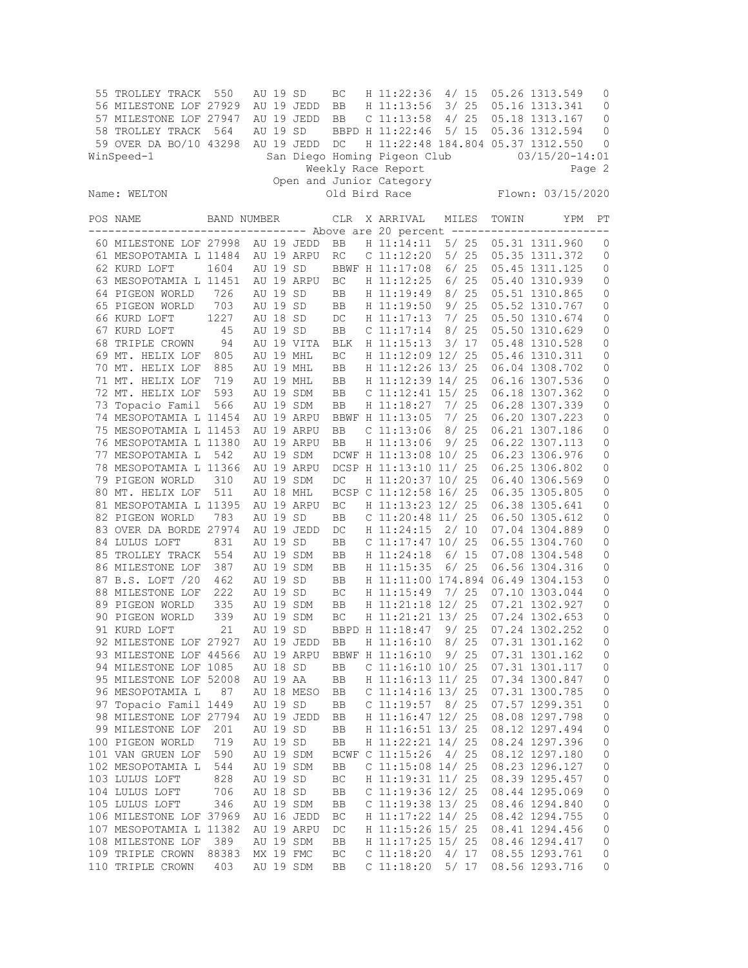| 55 | TROLLEY TRACK<br>56 MILESTONE LOF 27929<br>57 MILESTONE LOF 27947<br>58 TROLLEY TRACK<br>59 OVER DA BO/10 43298<br>WinSpeed-1 | 550<br>564  | AU 19 SD<br>AU 19 SD | AU 19 JEDD<br>AU 19 JEDD<br>AU 19 JEDD | ВC<br>BB<br>BB<br>DC | H 11:22:36<br>H 11:13:56<br>$C$ 11:13:58<br>BBPD H 11:22:46<br>H 11:22:48 184.804 05.37 1312.550<br>San Diego Homing Pigeon Club | 4/15<br>3/25<br>4/25 | 5/15      |       | 05.26 1313.549<br>05.16 1313.341<br>05.18 1313.167<br>05.36 1312.594<br>$03/15/20 - 14:01$ | 0<br>0<br>$\mathbf 0$<br>0<br>0 |
|----|-------------------------------------------------------------------------------------------------------------------------------|-------------|----------------------|----------------------------------------|----------------------|----------------------------------------------------------------------------------------------------------------------------------|----------------------|-----------|-------|--------------------------------------------------------------------------------------------|---------------------------------|
|    |                                                                                                                               |             |                      |                                        |                      | Weekly Race Report<br>Open and Junior Category                                                                                   |                      |           |       |                                                                                            | Page 2                          |
|    | Name: WELTON                                                                                                                  |             |                      |                                        |                      | Old Bird Race                                                                                                                    |                      |           |       | Flown: 03/15/2020                                                                          |                                 |
|    | POS NAME                                                                                                                      | BAND NUMBER |                      |                                        | CLR.                 | X ARRIVAL<br>$---$ Above are 20 percent $--$                                                                                     | MILES                | $--- - -$ | TOWIN | YPM                                                                                        | РT                              |
|    | 60 MILESTONE LOF 27998                                                                                                        |             |                      | AU 19 JEDD                             | BB                   | H 11:14:11                                                                                                                       |                      | 5/25      |       | 05.31 1311.960                                                                             | 0                               |
|    | 61 MESOPOTAMIA L 11484                                                                                                        |             |                      | AU 19 ARPU                             | RC                   | C 11:12:20                                                                                                                       |                      | 5/25      |       | 05.35 1311.372                                                                             | $\mathbb O$                     |
|    | 62 KURD LOFT                                                                                                                  | 1604        | AU 19 SD             |                                        |                      | BBWF H 11:17:08                                                                                                                  |                      | 6/25      |       | 05.45 1311.125                                                                             | $\circ$                         |
|    | 63 MESOPOTAMIA L 11451                                                                                                        |             |                      | AU 19 ARPU                             | BC                   | H 11:12:25                                                                                                                       | 6/25                 |           |       | 05.40 1310.939                                                                             | 0                               |
|    | 64 PIGEON WORLD                                                                                                               | 726         | AU 19 SD             |                                        | BB                   | H 11:19:49                                                                                                                       | 8/                   | 25        |       | 05.51 1310.865                                                                             | $\mathbb O$                     |
|    | 65 PIGEON WORLD                                                                                                               | 703         | AU 19 SD             |                                        | BB                   | H 11:19:50                                                                                                                       |                      | 9/25      |       | 05.52 1310.767                                                                             | 0                               |
|    | 66 KURD LOFT                                                                                                                  | 1227        | AU 18 SD             |                                        | DC                   | H 11:17:13                                                                                                                       |                      | 7/25      |       | 05.50 1310.674                                                                             | $\mathbf 0$                     |
|    | 67 KURD LOFT                                                                                                                  | 45          | AU 19 SD             |                                        | BB                   | $C$ 11:17:14                                                                                                                     | 8/                   | 25        |       | 05.50 1310.629                                                                             | $\mathbb O$                     |
|    | 68 TRIPLE CROWN<br>69 MT. HELIX LOF                                                                                           | 94          |                      | AU 19 VITA<br>AU 19 MHL                | BLK<br>BC            | H 11:15:13<br>H 11:12:09 12/ 25                                                                                                  | 3/17                 |           |       | 05.48 1310.528<br>05.46 1310.311                                                           | 0<br>$\mathbf 0$                |
|    | 70 MT. HELIX LOF                                                                                                              | 805<br>885  |                      | AU 19 MHL                              | BB                   | H 11:12:26 13/ 25                                                                                                                |                      |           |       | 06.04 1308.702                                                                             | $\mathbb O$                     |
|    | 71 MT. HELIX LOF                                                                                                              | 719         |                      | AU 19 MHL                              | BB                   | H 11:12:39 14/ 25                                                                                                                |                      |           |       | 06.16 1307.536                                                                             | $\mathbb O$                     |
|    | 72 MT. HELIX LOF                                                                                                              | 593         |                      | AU 19 SDM                              | BB                   | C 11:12:41 15/ 25                                                                                                                |                      |           |       | 06.18 1307.362                                                                             | $\mathbf 0$                     |
|    | 73 Topacio Famil                                                                                                              | 566         |                      | AU 19 SDM                              | BB                   | H 11:18:27                                                                                                                       | 7/25                 |           |       | 06.28 1307.339                                                                             | 0                               |
|    | 74 MESOPOTAMIA L 11454                                                                                                        |             |                      | AU 19 ARPU                             |                      | BBWF H 11:13:05                                                                                                                  | 7/                   | 25        |       | 06.20 1307.223                                                                             | $\mathbb O$                     |
|    | 75 MESOPOTAMIA L 11453                                                                                                        |             |                      | AU 19 ARPU                             | BB                   | $C$ 11:13:06                                                                                                                     | 8/25                 |           |       | 06.21 1307.186                                                                             | 0                               |
|    | 76 MESOPOTAMIA L 11380                                                                                                        |             |                      | AU 19 ARPU                             | BB                   | H 11:13:06                                                                                                                       |                      | 9/25      |       | 06.22 1307.113                                                                             | $\mathbb O$                     |
|    | 77 MESOPOTAMIA L                                                                                                              | 542         |                      | AU 19 SDM                              |                      | DCWF H 11:13:08 10/ 25                                                                                                           |                      |           |       | 06.23 1306.976                                                                             | $\mathbb O$                     |
|    | 78 MESOPOTAMIA L 11366                                                                                                        |             |                      | AU 19 ARPU                             |                      | DCSP H 11:13:10 11/ 25                                                                                                           |                      |           |       | 06.25 1306.802                                                                             | 0                               |
|    | 79 PIGEON WORLD                                                                                                               | 310         |                      | AU 19 SDM                              | DC                   | H 11:20:37 10/ 25                                                                                                                |                      |           |       | 06.40 1306.569                                                                             | 0                               |
|    | 80 MT. HELIX LOF                                                                                                              | 511         |                      | AU 18 MHL                              |                      | BCSP C 11:12:58 16/ 25                                                                                                           |                      |           |       | 06.35 1305.805                                                                             | $\mathbb O$                     |
|    | 81 MESOPOTAMIA L 11395                                                                                                        |             |                      | AU 19 ARPU                             | BC                   | H 11:13:23 12/ 25                                                                                                                |                      |           |       | 06.38 1305.641                                                                             | $\mathbb O$                     |
|    | 82 PIGEON WORLD                                                                                                               | 783         | AU 19 SD             |                                        | BB                   | C 11:20:48 11/ 25                                                                                                                |                      |           |       | 06.50 1305.612                                                                             | 0                               |
|    | 83 OVER DA BORDE 27974                                                                                                        |             |                      | AU 19 JEDD                             | DC                   | H 11:24:15                                                                                                                       | 2/10                 |           |       | 07.04 1304.889                                                                             | 0                               |
|    | 84 LULUS LOFT                                                                                                                 | 831         | AU 19 SD             |                                        | BB                   | C 11:17:47 10/ 25                                                                                                                |                      |           |       | 06.55 1304.760                                                                             | $\mathbb O$                     |
|    | 85 TROLLEY TRACK                                                                                                              | 554         |                      | AU 19 SDM                              | BB                   | H 11:24:18                                                                                                                       |                      | 6/15      |       | 07.08 1304.548                                                                             | 0                               |
|    | 86 MILESTONE LOF                                                                                                              | 387         |                      | AU 19 SDM                              | BB                   | H 11:15:35                                                                                                                       |                      | 6/25      |       | 06.56 1304.316                                                                             | 0                               |
|    | 87 B.S. LOFT /20                                                                                                              | 462         | AU 19 SD             |                                        | BB                   | H 11:11:00 174.894 06.49 1304.153                                                                                                |                      |           |       |                                                                                            | $\mathbb O$                     |
|    | 88 MILESTONE LOF                                                                                                              | 222         | AU 19 SD             |                                        | ВC                   | H 11:15:49                                                                                                                       | 7/25                 |           |       | 07.10 1303.044                                                                             | 0                               |
|    | 89 PIGEON WORLD                                                                                                               | 335         |                      | AU 19 SDM                              | BB                   | H 11:21:18 12/ 25                                                                                                                |                      |           |       | 07.21 1302.927                                                                             | 0                               |
|    | 90 PIGEON WORLD                                                                                                               | 339         |                      | AU 19 SDM                              | BC                   | H 11:21:21 13/ 25                                                                                                                |                      |           |       | 07.24 1302.653                                                                             | 0                               |
|    | 91 KURD LOFT                                                                                                                  | 21          | AU 19 SD             |                                        |                      | BBPD H 11:18:47                                                                                                                  | 9/25                 |           |       | 07.24 1302.252                                                                             | $\mathbf{0}$                    |
|    | 92 MILESTONE LOF 27927                                                                                                        |             |                      | AU 19 JEDD                             | BB                   | H 11:16:10                                                                                                                       | 8/25                 |           |       | 07.31 1301.162                                                                             | 0                               |
|    | 93 MILESTONE LOF 44566                                                                                                        |             |                      | AU 19 ARPU                             |                      | BBWF H 11:16:10                                                                                                                  | 9/25                 |           |       | 07.31 1301.162                                                                             | 0                               |
|    | 94 MILESTONE LOF 1085                                                                                                         |             | AU 18 SD             |                                        | BB                   | $C$ 11:16:10 10/ 25                                                                                                              |                      |           |       | 07.31 1301.117                                                                             | $\circ$                         |
|    | 95 MILESTONE LOF 52008                                                                                                        |             | AU 19 AA             |                                        | BB                   | H 11:16:13 11/ 25                                                                                                                |                      |           |       | 07.34 1300.847                                                                             | $\mathbb O$                     |
|    | 96 MESOPOTAMIA L                                                                                                              | 87          |                      | AU 18 MESO                             | BB                   | C $11:14:16$ 13/ 25                                                                                                              | 8/25                 |           |       | 07.31 1300.785                                                                             | $\mathbb O$                     |
|    | 97 Topacio Famil 1449<br>98 MILESTONE LOF 27794                                                                               |             | AU 19 SD             | AU 19 JEDD                             | BB                   | $C$ 11:19:57<br>H 11:16:47 12/ 25                                                                                                |                      |           |       | 07.57 1299.351<br>08.08 1297.798                                                           | $\mathbb O$                     |
|    | 99 MILESTONE LOF                                                                                                              | 201         | AU 19 SD             |                                        | BB<br>BB             | H 11:16:51 13/ 25                                                                                                                |                      |           |       | 08.12 1297.494                                                                             | $\mathbb O$<br>$\mathbb O$      |
|    | 100 PIGEON WORLD                                                                                                              | 719         | AU 19 SD             |                                        | BB                   | H 11:22:21 14/ 25                                                                                                                |                      |           |       | 08.24 1297.396                                                                             | $\mathbb O$                     |
|    | 101 VAN GRUEN LOF                                                                                                             | 590         |                      | AU 19 SDM                              |                      | BCWF C 11:15:26                                                                                                                  | 4/25                 |           |       | 08.12 1297.180                                                                             | $\circ$                         |
|    | 102 MESOPOTAMIA L                                                                                                             | 544         |                      | AU 19 SDM                              | BB                   | $C$ 11:15:08 14/25                                                                                                               |                      |           |       | 08.23 1296.127                                                                             | $\mathbb O$                     |
|    | 103 LULUS LOFT                                                                                                                | 828         | AU 19 SD             |                                        | ВC                   | H 11:19:31 11/ 25                                                                                                                |                      |           |       | 08.39 1295.457                                                                             | $\mathbb O$                     |
|    | 104 LULUS LOFT                                                                                                                | 706         | AU 18 SD             |                                        | BB                   | C 11:19:36 12/ 25                                                                                                                |                      |           |       | 08.44 1295.069                                                                             | $\mathbb O$                     |
|    | 105 LULUS LOFT                                                                                                                | 346         |                      | AU 19 SDM                              | BB                   | C 11:19:38 13/ 25                                                                                                                |                      |           |       | 08.46 1294.840                                                                             | $\mathbb O$                     |
|    | 106 MILESTONE LOF 37969                                                                                                       |             |                      | AU 16 JEDD                             | ВC                   | H 11:17:22 14/ 25                                                                                                                |                      |           |       | 08.42 1294.755                                                                             | 0                               |
|    | 107 MESOPOTAMIA L 11382                                                                                                       |             |                      | AU 19 ARPU                             | DC                   | H 11:15:26 15/ 25                                                                                                                |                      |           |       | 08.41 1294.456                                                                             | 0                               |
|    | 108 MILESTONE LOF                                                                                                             | 389         |                      | AU 19 SDM                              | BB                   | H 11:17:25 15/ 25                                                                                                                |                      |           |       | 08.46 1294.417                                                                             | 0                               |
|    | 109 TRIPLE CROWN                                                                                                              | 88383       |                      | MX 19 FMC                              | ВC                   | C 11:18:20                                                                                                                       |                      | 4/17      |       | 08.55 1293.761                                                                             | 0                               |
|    | 110 TRIPLE CROWN                                                                                                              | 403         |                      | AU 19 SDM                              | BB                   | C 11:18:20                                                                                                                       | 5/17                 |           |       | 08.56 1293.716                                                                             | 0                               |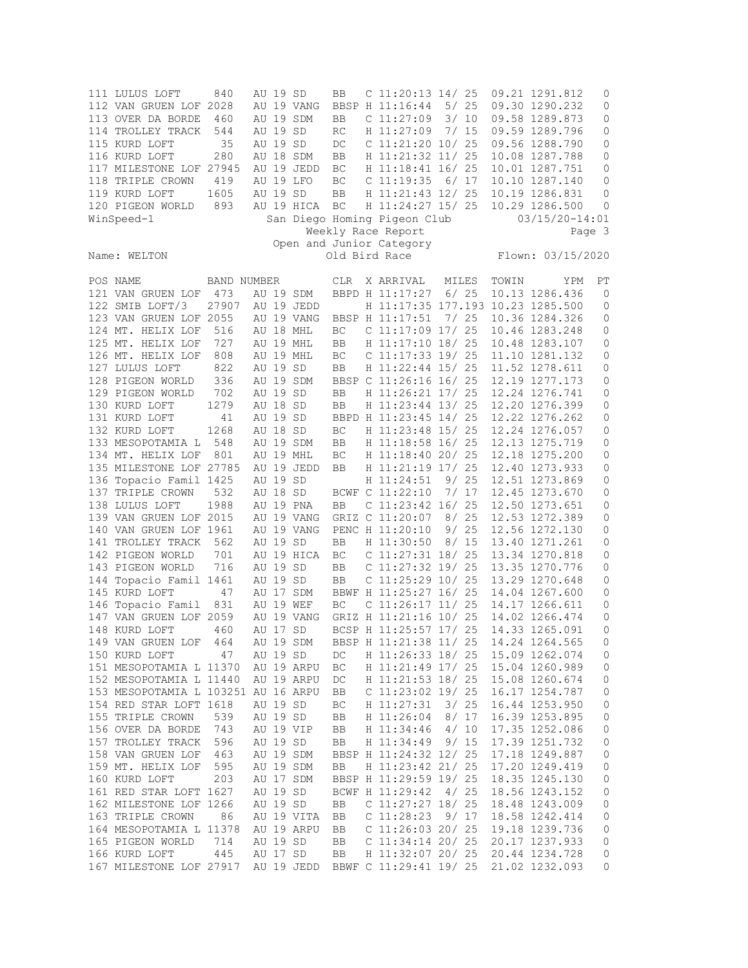| 111 LULUS LOFT                         | 840              | AU 19 SD |            | BB  | C $11:20:13$ $14/25$                       |       |       |       | 09.21 1291.812                   | 0           |  |  |
|----------------------------------------|------------------|----------|------------|-----|--------------------------------------------|-------|-------|-------|----------------------------------|-------------|--|--|
| 112 VAN GRUEN LOF 2028                 |                  |          | AU 19 VANG |     | BBSP H 11:16:44 5/ 25                      |       |       |       | 09.30 1290.232                   | 0           |  |  |
| 113 OVER DA BORDE                      | 460              |          | AU 19 SDM  | BB  | C <sub>11:27:09</sub>                      | 3/10  |       |       | 09.58 1289.873                   | 0           |  |  |
| 114 TROLLEY TRACK                      | 544              | AU 19 SD |            | RC  | H 11:27:09 7/ 15                           |       |       |       | 09.59 1289.796                   | 0           |  |  |
| 115 KURD LOFT                          | 35               | AU 19 SD |            | DC  | C $11:21:20$ $10/25$                       |       |       |       | 09.56 1288.790                   | 0           |  |  |
| 116 KURD LOFT                          | 280              |          | AU 18 SDM  | BB  | H 11:21:32 11/ 25                          |       |       |       | 10.08 1287.788                   | 0           |  |  |
| 117 MILESTONE LOF 27945                |                  |          | AU 19 JEDD | BC  | H 11:18:41 16/ 25                          |       |       |       | 10.01 1287.751                   | 0           |  |  |
| 118 TRIPLE CROWN                       | 419              |          | AU 19 LFO  | ВC  | $C$ 11:19:35 6/17                          |       |       |       | 10.10 1287.140                   | $\mathbf 0$ |  |  |
| 119 KURD LOFT                          | 1605             | AU 19 SD |            | BB  | H 11:21:43 12/ 25                          |       |       |       | 10.19 1286.831                   | 0           |  |  |
| 120 PIGEON WORLD                       | 893              |          | AU 19 HICA | ВC  | H 11:24:27 15/ 25                          |       |       |       | 10.29 1286.500                   | 0           |  |  |
| WinSpeed-1                             |                  |          |            |     | San Diego Homing Pigeon Club<br>- The Club |       |       |       | $03/15/20 - 14:01$               |             |  |  |
|                                        |                  |          |            |     | Weekly Race Report                         |       |       |       | Page 3                           |             |  |  |
|                                        |                  |          |            |     | Open and Junior Category                   |       |       |       |                                  |             |  |  |
| Name: WELTON                           |                  |          |            |     | Old Bird Race                              |       |       |       | Flown: 03/15/2020                |             |  |  |
|                                        |                  |          |            |     |                                            |       |       |       |                                  |             |  |  |
| POS NAME                               | BAND NUMBER      |          |            | CLR | X ARRIVAL                                  | MILES |       | TOWIN | YPM                              | РT          |  |  |
| 121 VAN GRUEN LOF 473                  |                  |          | AU 19 SDM  |     | BBPD H 11:17:27 6/ 25                      |       |       |       | 10.13 1286.436                   | 0           |  |  |
| 122 SMIB LOFT/3                        | 27907 AU 19 JEDD |          |            |     | H 11:17:35 177.193 10.23 1285.500          |       |       |       |                                  | $\circ$     |  |  |
| 123 VAN GRUEN LOF 2055                 |                  |          | AU 19 VANG |     | BBSP H 11:17:51                            | 7/ 25 |       |       | 10.36 1284.326                   | 0           |  |  |
| 124 MT. HELIX LOF                      | 516              |          | AU 18 MHL  | BC  | $C$ 11:17:09 17/ 25                        |       |       |       | 10.46 1283.248                   | 0           |  |  |
| 125 MT. HELIX LOF                      | 727              |          | AU 19 MHL  | BB  | H 11:17:10 18/ 25 10.48 1283.107           |       |       |       |                                  | 0           |  |  |
| 126 MT. HELIX LOF                      | 808              |          | AU 19 MHL  | BC  | $C$ 11:17:33 19/ 25                        |       |       |       | 11.10 1281.132                   | 0           |  |  |
| 127 LULUS LOFT                         | 822              | AU 19 SD |            | BB  | H 11:22:44 15/ 25                          |       |       |       | 11.52 1278.611                   | 0           |  |  |
| 128 PIGEON WORLD                       | 336              |          | AU 19 SDM  |     | BBSP C 11:26:16 16/ 25                     |       |       |       | 12.19 1277.173                   | 0           |  |  |
| 129 PIGEON WORLD                       | 702              | AU 19 SD |            | BB  | H 11:26:21 17/ 25                          |       |       |       | 12.24 1276.741                   | 0           |  |  |
| 130 KURD LOFT                          | 1279             | AU 18 SD |            | BB  | H 11:23:44 13/ 25                          |       |       |       | 12.20 1276.399                   | 0           |  |  |
| 131 KURD LOFT                          |                  | AU 19 SD |            |     | BBPD H 11:23:45 14/ 25                     |       |       |       | 12.22 1276.262                   | 0           |  |  |
|                                        | 41               | AU 18 SD |            |     |                                            |       |       |       |                                  |             |  |  |
| 132 KURD LOFT<br>133 MESOPOTAMIA L 548 | 1268             |          | AU 19 SDM  | BC  | H 11:23:48 15/ 25<br>H 11:18:58 16/ 25     |       |       |       | 12.24 1276.057<br>12.13 1275.719 | 0           |  |  |
|                                        |                  |          |            | BB. |                                            |       |       |       |                                  | 0           |  |  |
| 134 MT. HELIX LOF                      | 801              |          | AU 19 MHL  | ВC  | H 11:18:40 20/ 25                          |       |       |       | 12.18 1275.200                   | 0           |  |  |
| 135 MILESTONE LOF 27785                |                  |          | AU 19 JEDD | BB  | H 11:21:19 17/ 25 12.40 1273.933           |       |       |       |                                  | 0           |  |  |
| 136 Topacio Famil 1425                 |                  | AU 19 SD |            |     | H 11:24:51                                 |       | 9/ 25 |       | 12.51 1273.869                   | 0           |  |  |
| 137 TRIPLE CROWN                       | 532              | AU 18 SD |            |     | BCWF C 11:22:10                            |       | 7/ 17 |       | 12.45 1273.670                   | 0           |  |  |
| 138 LULUS LOFT                         | 1988             |          | AU 19 PNA  | BB  | $C$ 11:23:42 16/25                         |       |       |       | 12.50 1273.651                   | 0           |  |  |
| 139 VAN GRUEN LOF 2015                 |                  |          | AU 19 VANG |     | GRIZ C 11:20:07                            | 8/25  |       |       | 12.53 1272.389                   | 0           |  |  |
| 140 VAN GRUEN LOF 1961                 |                  |          | AU 19 VANG |     | PENC H 11:20:10                            | 9/25  |       |       | 12.56 1272.130                   | 0           |  |  |
| 141 TROLLEY TRACK 562                  |                  | AU 19 SD |            | BB. | H 11:30:50                                 |       | 8/15  |       | 13.40 1271.261                   | 0           |  |  |
| 142 PIGEON WORLD                       | 701              |          | AU 19 HICA | BC  | C $11:27:31$ $18/25$                       |       |       |       | 13.34 1270.818                   | 0           |  |  |
| 143 PIGEON WORLD                       | 716              | AU 19 SD |            | BB. | $C$ 11:27:32 19/25                         |       |       |       | 13.35 1270.776                   | 0           |  |  |
| 144 Topacio Famil 1461                 |                  | AU 19 SD |            | BB  | $C$ 11:25:29 10/25                         |       |       |       | 13.29 1270.648                   | 0           |  |  |
| 145 KURD LOFT                          | 47               |          | AU 17 SDM  |     | BBWF H 11:25:27 16/ 25 14.04 1267.600      |       |       |       |                                  | 0           |  |  |
| 146 Topacio Famil                      | 831              |          | AU 19 WEF  | BC  | C $11:26:17$ $11/25$                       |       |       |       | 14.17 1266.611                   | 0           |  |  |
| 147 VAN GRUEN LOF 2059                 |                  |          | AU 19 VANG |     | GRIZ H 11:21:16 10/ 25                     |       |       |       | 14.02 1266.474                   | 0           |  |  |
| 148 KURD LOFT                          | 460              | AU 17 SD |            |     | BCSP H 11:25:57 17/ 25                     |       |       |       | 14.33 1265.091                   | $\Omega$    |  |  |
| 149 VAN GRUEN LOF                      | 464              |          | AU 19 SDM  |     | BBSP H 11:21:38 11/ 25                     |       |       |       | 14.24 1264.565                   | 0           |  |  |
| 150 KURD LOFT                          | 47               | AU 19 SD |            | DC  | H 11:26:33 18/ 25                          |       |       |       | 15.09 1262.074                   | 0           |  |  |
| 151 MESOPOTAMIA L 11370                |                  |          | AU 19 ARPU | ВC  | H 11:21:49 17/ 25                          |       |       |       | 15.04 1260.989                   | 0           |  |  |
| 152 MESOPOTAMIA L 11440                |                  |          | AU 19 ARPU | DC  | H 11:21:53 18/ 25                          |       |       |       | 15.08 1260.674                   | 0           |  |  |
| 153 MESOPOTAMIA L 103251 AU 16 ARPU    |                  |          |            | BB  | C 11:23:02 19/ 25                          |       |       |       | 16.17 1254.787                   | 0           |  |  |
| 154 RED STAR LOFT 1618                 |                  | AU 19 SD |            | ВC  | H 11:27:31                                 | 3/25  |       |       | 16.44 1253.950                   | 0           |  |  |
| 155 TRIPLE CROWN                       | 539              | AU 19 SD |            | BB  | H 11:26:04                                 | 8/17  |       |       | 16.39 1253.895                   | 0           |  |  |
| 156 OVER DA BORDE                      | 743              |          | AU 19 VIP  | BB  | H 11:34:46                                 | 4/10  |       |       | 17.35 1252.086                   | 0           |  |  |
| 157 TROLLEY TRACK                      | 596              | AU 19 SD |            | BB  | H 11:34:49                                 |       | 9/15  |       | 17.39 1251.732                   | 0           |  |  |
| 158 VAN GRUEN LOF                      | 463              |          | AU 19 SDM  |     | BBSP H 11:24:32 12/ 25                     |       |       |       | 17.18 1249.887                   | 0           |  |  |
| 159 MT. HELIX LOF                      | 595              |          | AU 19 SDM  | BB  | H 11:23:42 21/ 25                          |       |       |       | 17.20 1249.419                   | 0           |  |  |
| 160 KURD LOFT                          | 203              |          | AU 17 SDM  |     | BBSP H 11:29:59 19/ 25                     |       |       |       | 18.35 1245.130                   | 0           |  |  |
| 161 RED STAR LOFT 1627                 |                  | AU 19 SD |            |     | BCWF H 11:29:42                            | 4/25  |       |       | 18.56 1243.152                   | 0           |  |  |
| 162 MILESTONE LOF 1266                 |                  | AU 19 SD |            | BB  | C $11:27:27$ 18/ 25                        |       |       |       | 18.48 1243.009                   | 0           |  |  |
| 163 TRIPLE CROWN                       | 86               |          | AU 19 VITA | BB  | C 11:28:23                                 | 9/17  |       |       | 18.58 1242.414                   | 0           |  |  |
| 164 MESOPOTAMIA L 11378                |                  |          | AU 19 ARPU | BB  | C $11:26:03$ 20/ 25                        |       |       |       | 19.18 1239.736                   | 0           |  |  |
| 165 PIGEON WORLD                       | 714              | AU 19 SD |            | BB  | C $11:34:14$ 20/ 25                        |       |       |       | 20.17 1237.933                   | 0           |  |  |
| 166 KURD LOFT                          | 445              | AU 17 SD |            | BB  | H 11:32:07 20/ 25                          |       |       |       | 20.44 1234.728                   | 0           |  |  |
| 167 MILESTONE LOF 27917                |                  |          | AU 19 JEDD |     | BBWF C 11:29:41 19/ 25                     |       |       |       | 21.02 1232.093                   | 0           |  |  |